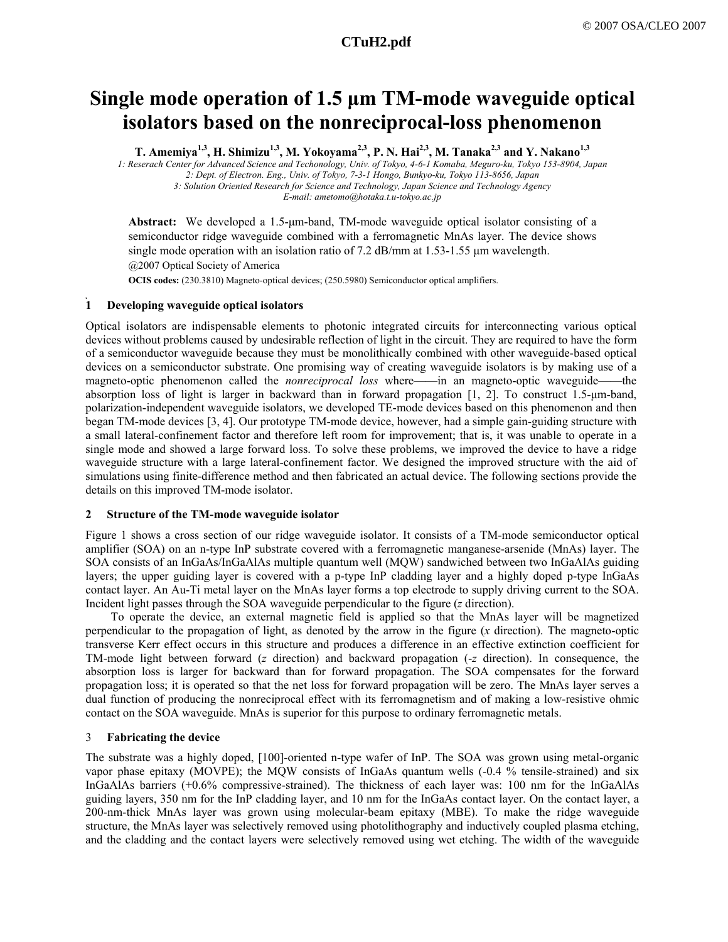# **Single mode operation of 1.5 µm TM-mode waveguide optical isolators based on the nonreciprocal-loss phenomenon**

T. Amemiya<sup>1,3</sup>, H. Shimizu<sup>1,3</sup>, M. Yokoyama<sup>2,3</sup>, P. N. Hai<sup>2,3</sup>, M. Tanaka<sup>2,3</sup> and Y. Nakano<sup>1,3</sup>

*1: Reserach Center for Advanced Science and Techonology, Univ. of Tokyo, 4-6-1 Komaba, Meguro-ku, Tokyo 153-8904, Japan 2: Dept. of Electron. Eng., Univ. of Tokyo, 7-3-1 Hongo, Bunkyo-ku, Tokyo 113-8656, Japan* 

*3: Solution Oriented Research for Science and Technology, Japan Science and Technology Agency* 

*E-mail: ametomo@hotaka.t.u-tokyo.ac.jp* 

**Abstract:** We developed a 1.5-µm-band, TM-mode waveguide optical isolator consisting of a semiconductor ridge waveguide combined with a ferromagnetic MnAs layer. The device shows single mode operation with an isolation ratio of 7.2 dB/mm at  $1.53$ -1.55  $\mu$ m wavelength. @2007 Optical Society of America

**OCIS codes:** (230.3810) Magneto-optical devices; (250.5980) Semiconductor optical amplifiers.

## **1 Developing waveguide optical isolators**

Optical isolators are indispensable elements to photonic integrated circuits for interconnecting various optical devices without problems caused by undesirable reflection of light in the circuit. They are required to have the form of a semiconductor waveguide because they must be monolithically combined with other waveguide-based optical devices on a semiconductor substrate. One promising way of creating waveguide isolators is by making use of a magneto-optic phenomenon called the *nonreciprocal loss* where——in an magneto-optic waveguide——the absorption loss of light is larger in backward than in forward propagation [1, 2]. To construct 1.5-µm-band, polarization-independent waveguide isolators, we developed TE-mode devices based on this phenomenon and then began TM-mode devices [3, 4]. Our prototype TM-mode device, however, had a simple gain-guiding structure with a small lateral-confinement factor and therefore left room for improvement; that is, it was unable to operate in a single mode and showed a large forward loss. To solve these problems, we improved the device to have a ridge waveguide structure with a large lateral-confinement factor. We designed the improved structure with the aid of simulations using finite-difference method and then fabricated an actual device. The following sections provide the details on this improved TM-mode isolator.

## **2 Structure of the TM-mode waveguide isolator**

Figure 1 shows a cross section of our ridge waveguide isolator. It consists of a TM-mode semiconductor optical amplifier (SOA) on an n-type InP substrate covered with a ferromagnetic manganese-arsenide (MnAs) layer. The SOA consists of an InGaAs/InGaAlAs multiple quantum well (MQW) sandwiched between two InGaAlAs guiding layers; the upper guiding layer is covered with a p-type InP cladding layer and a highly doped p-type InGaAs contact layer. An Au-Ti metal layer on the MnAs layer forms a top electrode to supply driving current to the SOA. Incident light passes through the SOA waveguide perpendicular to the figure (*z* direction).

To operate the device, an external magnetic field is applied so that the MnAs layer will be magnetized perpendicular to the propagation of light, as denoted by the arrow in the figure (*x* direction). The magneto-optic transverse Kerr effect occurs in this structure and produces a difference in an effective extinction coefficient for TM-mode light between forward (*z* direction) and backward propagation (-*z* direction). In consequence, the absorption loss is larger for backward than for forward propagation. The SOA compensates for the forward propagation loss; it is operated so that the net loss for forward propagation will be zero. The MnAs layer serves a dual function of producing the nonreciprocal effect with its ferromagnetism and of making a low-resistive ohmic contact on the SOA waveguide. MnAs is superior for this purpose to ordinary ferromagnetic metals.

## 3 **Fabricating the device**

The substrate was a highly doped, [100]-oriented n-type wafer of InP. The SOA was grown using metal-organic vapor phase epitaxy (MOVPE); the MQW consists of InGaAs quantum wells (-0.4 % tensile-strained) and six InGaAlAs barriers (+0.6% compressive-strained). The thickness of each layer was: 100 nm for the InGaAlAs guiding layers, 350 nm for the InP cladding layer, and 10 nm for the InGaAs contact layer. On the contact layer, a 200-nm-thick MnAs layer was grown using molecular-beam epitaxy (MBE). To make the ridge waveguide structure, the MnAs layer was selectively removed using photolithography and inductively coupled plasma etching, and the cladding and the contact layers were selectively removed using wet etching. The width of the waveguide